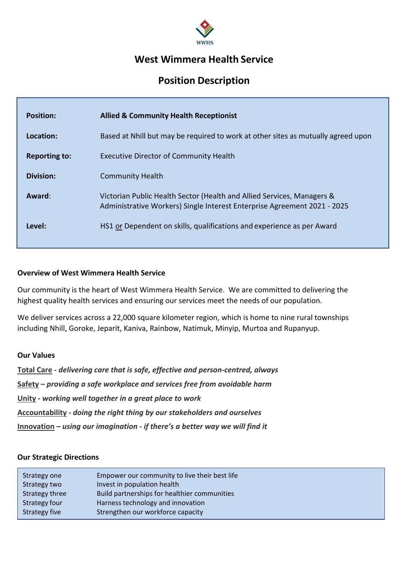

# **West Wimmera Health Service**

# **Position Description**

| <b>Position:</b>     | <b>Allied &amp; Community Health Receptionist</b>                                                                                                  |
|----------------------|----------------------------------------------------------------------------------------------------------------------------------------------------|
| Location:            | Based at Nhill but may be required to work at other sites as mutually agreed upon                                                                  |
| <b>Reporting to:</b> | <b>Executive Director of Community Health</b>                                                                                                      |
| <b>Division:</b>     | <b>Community Health</b>                                                                                                                            |
| Award:               | Victorian Public Health Sector (Health and Allied Services, Managers &<br>Administrative Workers) Single Interest Enterprise Agreement 2021 - 2025 |
| Level:               | HS1 or Dependent on skills, qualifications and experience as per Award                                                                             |

### **Overview of West Wimmera Health Service**

Our community is the heart of West Wimmera Health Service. We are committed to delivering the highest quality health services and ensuring our services meet the needs of our population.

We deliver services across a 22,000 square kilometer region, which is home to nine rural townships including Nhill, Goroke, Jeparit, Kaniva, Rainbow, Natimuk, Minyip, Murtoa and Rupanyup.

#### **Our Values**

**Total Care** *- delivering care that is safe, effective and person-centred, always* **Safety** *– providing a safe workplace and services free from avoidable harm* **Unity -** *working well together in a great place to work* **Accountability** *- doing the right thing by our stakeholders and ourselves* **Innovation –** *using our imagination - if there's a better way we will find it* 

#### **Our Strategic Directions**

| Strategy one   | Empower our community to live their best life |
|----------------|-----------------------------------------------|
| Strategy two   | Invest in population health                   |
| Strategy three | Build partnerships for healthier communities  |
| Strategy four  | Harness technology and innovation             |
| Strategy five  | Strengthen our workforce capacity             |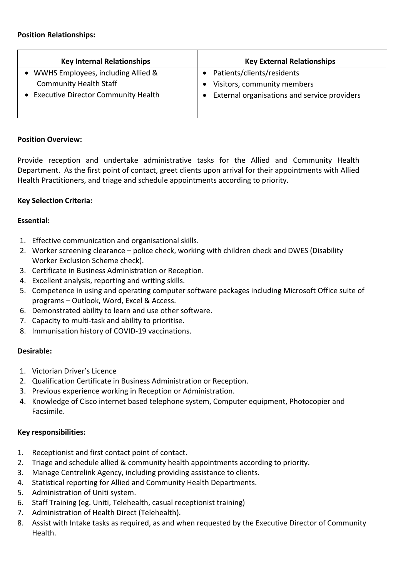| <b>Key Internal Relationships</b>          | <b>Key External Relationships</b>            |
|--------------------------------------------|----------------------------------------------|
| WWHS Employees, including Allied &         | Patients/clients/residents                   |
| <b>Community Health Staff</b>              | Visitors, community members                  |
| <b>Executive Director Community Health</b> | External organisations and service providers |
|                                            |                                              |
|                                            |                                              |

## **Position Overview:**

Provide reception and undertake administrative tasks for the Allied and Community Health Department. As the first point of contact, greet clients upon arrival for their appointments with Allied Health Practitioners, and triage and schedule appointments according to priority.

# **Key Selection Criteria:**

### **Essential:**

- 1. Effective communication and organisational skills.
- 2. Worker screening clearance police check, working with children check and DWES (Disability Worker Exclusion Scheme check).
- 3. Certificate in Business Administration or Reception.
- 4. Excellent analysis, reporting and writing skills.
- 5. Competence in using and operating computer software packages including Microsoft Office suite of programs – Outlook, Word, Excel & Access.
- 6. Demonstrated ability to learn and use other software.
- 7. Capacity to multi-task and ability to prioritise.
- 8. Immunisation history of COVID-19 vaccinations.

#### **Desirable:**

- 1. Victorian Driver's Licence
- 2. Qualification Certificate in Business Administration or Reception.
- 3. Previous experience working in Reception or Administration.
- 4. Knowledge of Cisco internet based telephone system, Computer equipment, Photocopier and Facsimile.

# **Key responsibilities:**

- 1. Receptionist and first contact point of contact.
- 2. Triage and schedule allied & community health appointments according to priority.
- 3. Manage Centrelink Agency, including providing assistance to clients.
- 4. Statistical reporting for Allied and Community Health Departments.
- 5. Administration of Uniti system.
- 6. Staff Training (eg. Uniti, Telehealth, casual receptionist training)
- 7. Administration of Health Direct (Telehealth).
- 8. Assist with Intake tasks as required, as and when requested by the Executive Director of Community Health.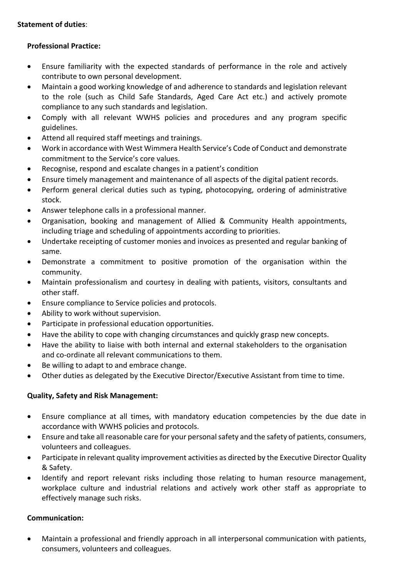# **Statement of duties**:

# **Professional Practice:**

- Ensure familiarity with the expected standards of performance in the role and actively contribute to own personal development.
- Maintain a good working knowledge of and adherence to standards and legislation relevant to the role (such as Child Safe Standards, Aged Care Act etc.) and actively promote compliance to any such standards and legislation.
- Comply with all relevant WWHS policies and procedures and any program specific guidelines.
- Attend all required staff meetings and trainings.
- Work in accordance with West Wimmera Health Service's Code of Conduct and demonstrate commitment to the Service's core values.
- Recognise, respond and escalate changes in a patient's condition
- Ensure timely management and maintenance of all aspects of the digital patient records.
- Perform general clerical duties such as typing, photocopying, ordering of administrative stock.
- Answer telephone calls in a professional manner.
- Organisation, booking and management of Allied & Community Health appointments, including triage and scheduling of appointments according to priorities.
- Undertake receipting of customer monies and invoices as presented and regular banking of same.
- Demonstrate a commitment to positive promotion of the organisation within the community.
- Maintain professionalism and courtesy in dealing with patients, visitors, consultants and other staff.
- Ensure compliance to Service policies and protocols.
- Ability to work without supervision.
- Participate in professional education opportunities.
- Have the ability to cope with changing circumstances and quickly grasp new concepts.
- Have the ability to liaise with both internal and external stakeholders to the organisation and co-ordinate all relevant communications to them.
- Be willing to adapt to and embrace change.
- Other duties as delegated by the Executive Director/Executive Assistant from time to time.

# **Quality, Safety and Risk Management:**

- Ensure compliance at all times, with mandatory education competencies by the due date in accordance with WWHS policies and protocols.
- Ensure and take all reasonable care for your personal safety and the safety of patients, consumers, volunteers and colleagues.
- Participate in relevant quality improvement activities as directed by the Executive Director Quality & Safety.
- Identify and report relevant risks including those relating to human resource management, workplace culture and industrial relations and actively work other staff as appropriate to effectively manage such risks.

# **Communication:**

• Maintain a professional and friendly approach in all interpersonal communication with patients, consumers, volunteers and colleagues.